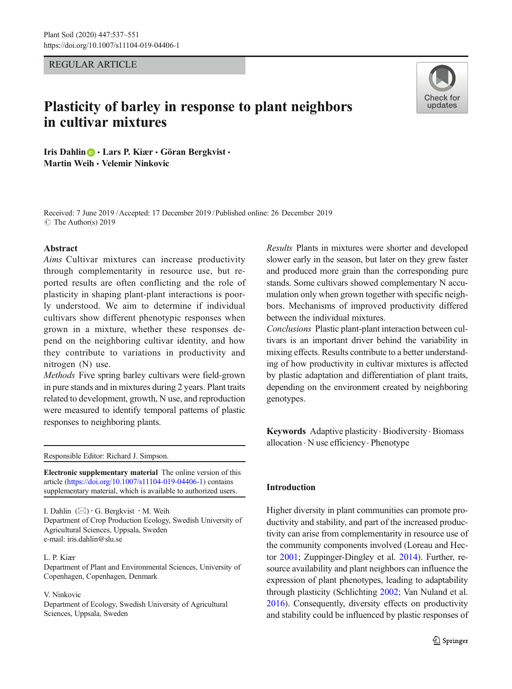# REGULAR ARTICLE

# Plasticity of barley in response to plant neighbors in cultivar mixtures



Iris Dahlin **D** · Lars P. Kiær · Göran Bergkvist · Martin Weih · Velemir Ninkovic

Received: 7 June 2019 /Accepted: 17 December 2019 /Published online: 26 December 2019 $\circ$  The Author(s) 2019

# Abstract

Aims Cultivar mixtures can increase productivity through complementarity in resource use, but reported results are often conflicting and the role of plasticity in shaping plant-plant interactions is poorly understood. We aim to determine if individual cultivars show different phenotypic responses when grown in a mixture, whether these responses depend on the neighboring cultivar identity, and how they contribute to variations in productivity and nitrogen (N) use.

Methods Five spring barley cultivars were field-grown in pure stands and in mixtures during 2 years. Plant traits related to development, growth, N use, and reproduction were measured to identify temporal patterns of plastic responses to neighboring plants.

Responsible Editor: Richard J. Simpson.

Electronic supplementary material The online version of this article (<https://doi.org/10.1007/s11104-019-04406-1>) contains supplementary material, which is available to authorized users.

I. Dahlin  $(\boxtimes) \cdot G$ . Bergkvist  $\cdot M$ . Weih Department of Crop Production Ecology, Swedish University of Agricultural Sciences, Uppsala, Sweden e-mail: iris.dahlin@slu.se

## L. P. Kiær

Department of Plant and Environmental Sciences, University of Copenhagen, Copenhagen, Denmark

#### V. Ninkovic

Department of Ecology, Swedish University of Agricultural Sciences, Uppsala, Sweden

Results Plants in mixtures were shorter and developed slower early in the season, but later on they grew faster and produced more grain than the corresponding pure stands. Some cultivars showed complementary N accumulation only when grown together with specific neighbors. Mechanisms of improved productivity differed between the individual mixtures.

Conclusions Plastic plant-plant interaction between cultivars is an important driver behind the variability in mixing effects. Results contribute to a better understanding of how productivity in cultivar mixtures is affected by plastic adaptation and differentiation of plant traits, depending on the environment created by neighboring genotypes.

Keywords Adaptive plasticity. Biodiversity. Biomass allocation . N use efficiency. Phenotype

# Introduction

Higher diversity in plant communities can promote productivity and stability, and part of the increased productivity can arise from complementarity in resource use of the community components involved (Loreau and Hector [2001;](#page-14-0) Zuppinger-Dingley et al. [2014](#page-14-0)). Further, resource availability and plant neighbors can influence the expression of plant phenotypes, leading to adaptability through plasticity (Schlichting [2002;](#page-14-0) Van Nuland et al. [2016](#page-14-0)). Consequently, diversity effects on productivity and stability could be influenced by plastic responses of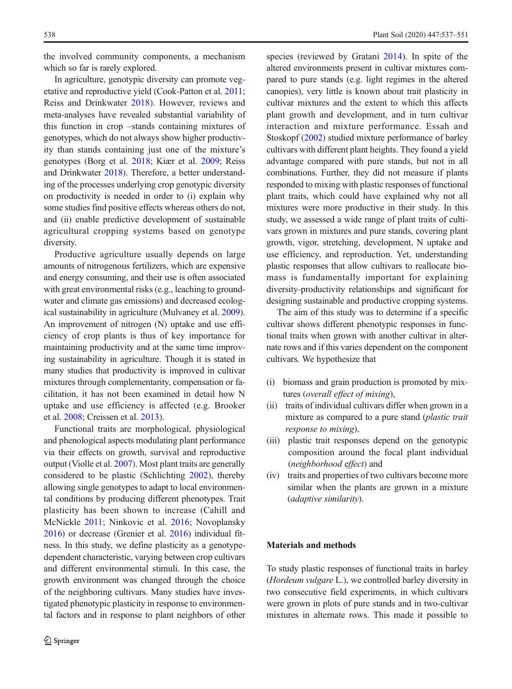the involved community components, a mechanism which so far is rarely explored.

In agriculture, genotypic diversity can promote vegetative and reproductive yield (Cook-Patton et al. [2011](#page-13-0); Reiss and Drinkwater [2018](#page-14-0)). However, reviews and meta-analyses have revealed substantial variability of this function in crop –stands containing mixtures of genotypes, which do not always show higher productivity than stands containing just one of the mixture's genotypes (Borg et al. [2018;](#page-13-0) Kiær et al. [2009;](#page-13-0) Reiss and Drinkwater [2018](#page-14-0)). Therefore, a better understanding of the processes underlying crop genotypic diversity on productivity is needed in order to (i) explain why some studies find positive effects whereas others do not, and (ii) enable predictive development of sustainable agricultural cropping systems based on genotype diversity.

Productive agriculture usually depends on large amounts of nitrogenous fertilizers, which are expensive and energy consuming, and their use is often associated with great environmental risks (e.g., leaching to groundwater and climate gas emissions) and decreased ecological sustainability in agriculture (Mulvaney et al. [2009\)](#page-14-0). An improvement of nitrogen (N) uptake and use efficiency of crop plants is thus of key importance for maintaining productivity and at the same time improving sustainability in agriculture. Though it is stated in many studies that productivity is improved in cultivar mixtures through complementarity, compensation or facilitation, it has not been examined in detail how N uptake and use efficiency is affected (e.g. Brooker et al. [2008;](#page-13-0) Creissen et al. [2013](#page-13-0)).

Functional traits are morphological, physiological and phenological aspects modulating plant performance via their effects on growth, survival and reproductive output (Violle et al. [2007](#page-14-0)). Most plant traits are generally considered to be plastic (Schlichting [2002](#page-14-0)), thereby allowing single genotypes to adapt to local environmental conditions by producing different phenotypes. Trait plasticity has been shown to increase (Cahill and McNickle [2011;](#page-13-0) Ninkovic et al. [2016;](#page-14-0) Novoplansky [2016](#page-14-0)) or decrease (Grenier et al. [2016\)](#page-13-0) individual fitness. In this study, we define plasticity as a genotypedependent characteristic, varying between crop cultivars and different environmental stimuli. In this case, the growth environment was changed through the choice of the neighboring cultivars. Many studies have investigated phenotypic plasticity in response to environmental factors and in response to plant neighbors of other species (reviewed by Gratani [2014](#page-13-0)). In spite of the altered environments present in cultivar mixtures compared to pure stands (e.g. light regimes in the altered canopies), very little is known about trait plasticity in cultivar mixtures and the extent to which this affects plant growth and development, and in turn cultivar interaction and mixture performance. Essah and Stoskopf [\(2002\)](#page-13-0) studied mixture performance of barley cultivars with different plant heights. They found a yield advantage compared with pure stands, but not in all combinations. Further, they did not measure if plants responded to mixing with plastic responses of functional plant traits, which could have explained why not all mixtures were more productive in their study. In this study, we assessed a wide range of plant traits of cultivars grown in mixtures and pure stands, covering plant growth, vigor, stretching, development, N uptake and use efficiency, and reproduction. Yet, understanding plastic responses that allow cultivars to reallocate biomass is fundamentally important for explaining diversity-productivity relationships and significant for designing sustainable and productive cropping systems.

The aim of this study was to determine if a specific cultivar shows different phenotypic responses in functional traits when grown with another cultivar in alternate rows and if this varies dependent on the component cultivars. We hypothesize that

- (i) biomass and grain production is promoted by mixtures (overall effect of mixing),
- (ii) traits of individual cultivars differ when grown in a mixture as compared to a pure stand (plastic trait response to mixing),
- (iii) plastic trait responses depend on the genotypic composition around the focal plant individual (neighborhood effect) and
- (iv) traits and properties of two cultivars become more similar when the plants are grown in a mixture (adaptive similarity).

## Materials and methods

To study plastic responses of functional traits in barley (Hordeum vulgare L.), we controlled barley diversity in two consecutive field experiments, in which cultivars were grown in plots of pure stands and in two-cultivar mixtures in alternate rows. This made it possible to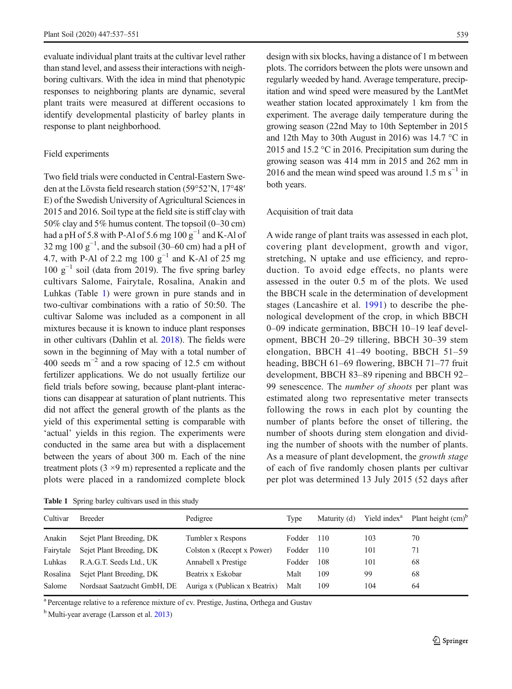evaluate individual plant traits at the cultivar level rather than stand level, and assess their interactions with neighboring cultivars. With the idea in mind that phenotypic responses to neighboring plants are dynamic, several plant traits were measured at different occasions to identify developmental plasticity of barley plants in response to plant neighborhood.

#### Field experiments

Two field trials were conducted in Central-Eastern Sweden at the Lövsta field research station (59°52'N, 17°48′ E) of the Swedish University of Agricultural Sciences in 2015 and 2016. Soil type at the field site is stiff clay with 50% clay and 5% humus content. The topsoil (0–30 cm) had a pH of 5.8 with P-Al of 5.6 mg 100  $g^{-1}$  and K-Al of 32 mg 100  $g^{-1}$ , and the subsoil (30–60 cm) had a pH of 4.7, with P-Al of 2.2 mg 100  $g^{-1}$  and K-Al of 25 mg  $100 \text{ g}^{-1}$  soil (data from 2019). The five spring barley cultivars Salome, Fairytale, Rosalina, Anakin and Luhkas (Table 1) were grown in pure stands and in two-cultivar combinations with a ratio of 50:50. The cultivar Salome was included as a component in all mixtures because it is known to induce plant responses in other cultivars (Dahlin et al. [2018\)](#page-13-0). The fields were sown in the beginning of May with a total number of 400 seeds  $m^{-2}$  and a row spacing of 12.5 cm without fertilizer applications. We do not usually fertilize our field trials before sowing, because plant-plant interactions can disappear at saturation of plant nutrients. This did not affect the general growth of the plants as the yield of this experimental setting is comparable with 'actual' yields in this region. The experiments were conducted in the same area but with a displacement between the years of about 300 m. Each of the nine treatment plots  $(3 \times 9 \text{ m})$  represented a replicate and the plots were placed in a randomized complete block

Table 1 Spring barley cultivars used in this study

design with six blocks, having a distance of 1 m between plots. The corridors between the plots were unsown and regularly weeded by hand. Average temperature, precipitation and wind speed were measured by the LantMet weather station located approximately 1 km from the experiment. The average daily temperature during the growing season (22nd May to 10th September in 2015 and 12th May to 30th August in 2016) was 14.7 °C in 2015 and 15.2 °C in 2016. Precipitation sum during the growing season was 414 mm in 2015 and 262 mm in 2016 and the mean wind speed was around 1.5 m s<sup> $-1$ </sup> in both years.

#### Acquisition of trait data

A wide range of plant traits was assessed in each plot, covering plant development, growth and vigor, stretching, N uptake and use efficiency, and reproduction. To avoid edge effects, no plants were assessed in the outer 0.5 m of the plots. We used the BBCH scale in the determination of development stages (Lancashire et al. [1991\)](#page-13-0) to describe the phenological development of the crop, in which BBCH 0–09 indicate germination, BBCH 10–19 leaf development, BBCH 20–29 tillering, BBCH 30–39 stem elongation, BBCH 41–49 booting, BBCH 51–59 heading, BBCH 61–69 flowering, BBCH 71–77 fruit development, BBCH 83–89 ripening and BBCH 92– 99 senescence. The number of shoots per plant was estimated along two representative meter transects following the rows in each plot by counting the number of plants before the onset of tillering, the number of shoots during stem elongation and dividing the number of shoots with the number of plants. As a measure of plant development, the growth stage of each of five randomly chosen plants per cultivar per plot was determined 13 July 2015 (52 days after

| <b>Breeder</b>              | Pedigree                      | Type   | Maturity (d) | Yield index <sup>a</sup> | Plant height $(cm)b$ |
|-----------------------------|-------------------------------|--------|--------------|--------------------------|----------------------|
| Sejet Plant Breeding, DK    | Tumbler x Respons             | Fodder | 110          | 103                      | 70                   |
| Sejet Plant Breeding, DK    | Colston x (Recept x Power)    | Fodder | 110          | 101                      | 71                   |
| R.A.G.T. Seeds Ltd., UK     | Annabell x Prestige           | Fodder | 108          | 101                      | 68                   |
| Sejet Plant Breeding, DK    | Beatrix x Eskobar             | Malt   | 109          | 99                       | 68                   |
| Nordsaat Saatzucht GmbH, DE | Auriga x (Publican x Beatrix) | Malt   | 109          | 104                      | 64                   |
|                             |                               |        |              |                          |                      |

<sup>a</sup> Percentage relative to a reference mixture of cv. Prestige, Justina, Orthega and Gustav

<sup>b</sup> Multi-year average (Larsson et al. [2013](#page-14-0))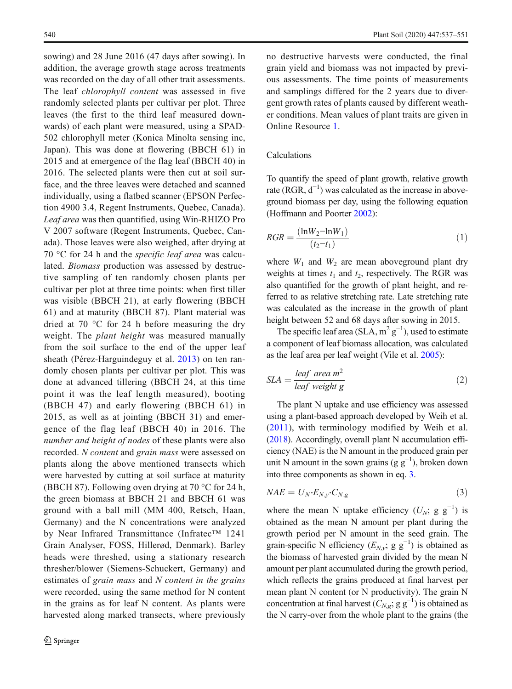sowing) and 28 June 2016 (47 days after sowing). In addition, the average growth stage across treatments was recorded on the day of all other trait assessments. The leaf chlorophyll content was assessed in five randomly selected plants per cultivar per plot. Three leaves (the first to the third leaf measured downwards) of each plant were measured, using a SPAD-502 chlorophyll meter (Konica Minolta sensing inc, Japan). This was done at flowering (BBCH 61) in 2015 and at emergence of the flag leaf (BBCH 40) in 2016. The selected plants were then cut at soil surface, and the three leaves were detached and scanned individually, using a flatbed scanner (EPSON Perfection 4900 3.4, Regent Instruments, Quebec, Canada). Leaf area was then quantified, using Win-RHIZO Pro V 2007 software (Regent Instruments, Quebec, Canada). Those leaves were also weighed, after drying at 70 °C for 24 h and the specific leaf area was calculated. Biomass production was assessed by destructive sampling of ten randomly chosen plants per cultivar per plot at three time points: when first tiller was visible (BBCH 21), at early flowering (BBCH 61) and at maturity (BBCH 87). Plant material was dried at 70 °C for 24 h before measuring the dry weight. The plant height was measured manually from the soil surface to the end of the upper leaf sheath (Pérez-Harguindeguy et al. [2013](#page-14-0)) on ten randomly chosen plants per cultivar per plot. This was done at advanced tillering (BBCH 24, at this time point it was the leaf length measured), booting (BBCH 47) and early flowering (BBCH 61) in 2015, as well as at jointing (BBCH 31) and emergence of the flag leaf (BBCH 40) in 2016. The number and height of nodes of these plants were also recorded. N content and grain mass were assessed on plants along the above mentioned transects which were harvested by cutting at soil surface at maturity (BBCH 87). Following oven drying at 70 °C for 24 h, the green biomass at BBCH 21 and BBCH 61 was ground with a ball mill (MM 400, Retsch, Haan, Germany) and the N concentrations were analyzed by Near Infrared Transmittance (Infratec™ 1241 Grain Analyser, FOSS, Hillerød, Denmark). Barley heads were threshed, using a stationary research thresher/blower (Siemens-Schuckert, Germany) and estimates of grain mass and N content in the grains were recorded, using the same method for N content in the grains as for leaf N content. As plants were harvested along marked transects, where previously

no destructive harvests were conducted, the final grain yield and biomass was not impacted by previous assessments. The time points of measurements and samplings differed for the 2 years due to divergent growth rates of plants caused by different weather conditions. Mean values of plant traits are given in Online Resource 1.

## Calculations

To quantify the speed of plant growth, relative growth rate (RGR,  $d^{-1}$ ) was calculated as the increase in aboveground biomass per day, using the following equation (Hoffmann and Poorter [2002\)](#page-13-0):

$$
RGR = \frac{(\ln W_2 - \ln W_1)}{(t_2 - t_1)}
$$
\n(1)

where  $W_1$  and  $W_2$  are mean aboveground plant dry weights at times  $t_1$  and  $t_2$ , respectively. The RGR was also quantified for the growth of plant height, and referred to as relative stretching rate. Late stretching rate was calculated as the increase in the growth of plant height between 52 and 68 days after sowing in 2015.

The specific leaf area (SLA,  $m^2 g^{-1}$ ), used to estimate a component of leaf biomass allocation, was calculated as the leaf area per leaf weight (Vile et al. [2005](#page-14-0)):

$$
SLA = \frac{leaf \text{ area } m^2}{leaf \text{ weight } g}
$$
 (2)

The plant N uptake and use efficiency was assessed using a plant-based approach developed by Weih et al. [\(2011\)](#page-14-0), with terminology modified by Weih et al. [\(2018\)](#page-14-0). Accordingly, overall plant N accumulation efficiency (NAE) is the N amount in the produced grain per unit N amount in the sown grains (g  $g^{-1}$ ), broken down into three components as shown in eq. 3.

$$
NAE = U_N \cdot E_{N,y} \cdot C_{N,g} \tag{3}
$$

where the mean N uptake efficiency ( $U_N$ ; g g<sup>-1</sup>) is obtained as the mean N amount per plant during the growth period per N amount in the seed grain. The grain-specific N efficiency ( $E_{N,y}$ ; g g<sup>-1</sup>) is obtained as the biomass of harvested grain divided by the mean N amount per plant accumulated during the growth period, which reflects the grains produced at final harvest per mean plant N content (or N productivity). The grain N concentration at final harvest  $(C_{N,g};g\,g^{-1})$  is obtained as the N carry-over from the whole plant to the grains (the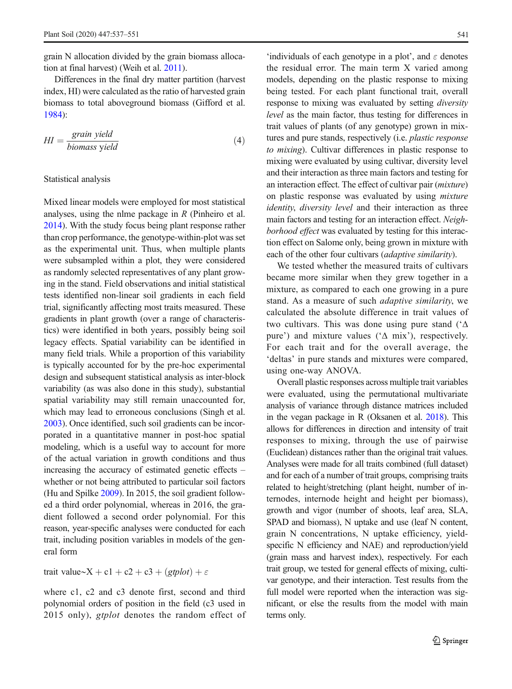grain N allocation divided by the grain biomass allocation at final harvest) (Weih et al. [2011\)](#page-14-0).

Differences in the final dry matter partition (harvest index, HI) were calculated as the ratio of harvested grain biomass to total aboveground biomass (Gifford et al. [1984](#page-13-0)):

$$
HI = \frac{grain \ yield}{biomass \ yield}
$$
 (4)

#### Statistical analysis

Mixed linear models were employed for most statistical analyses, using the nlme package in  $R$  (Pinheiro et al. [2014](#page-14-0)). With the study focus being plant response rather than crop performance, the genotype-within-plot was set as the experimental unit. Thus, when multiple plants were subsampled within a plot, they were considered as randomly selected representatives of any plant growing in the stand. Field observations and initial statistical tests identified non-linear soil gradients in each field trial, significantly affecting most traits measured. These gradients in plant growth (over a range of characteristics) were identified in both years, possibly being soil legacy effects. Spatial variability can be identified in many field trials. While a proportion of this variability is typically accounted for by the pre-hoc experimental design and subsequent statistical analysis as inter-block variability (as was also done in this study), substantial spatial variability may still remain unaccounted for, which may lead to erroneous conclusions (Singh et al. [2003](#page-14-0)). Once identified, such soil gradients can be incorporated in a quantitative manner in post-hoc spatial modeling, which is a useful way to account for more of the actual variation in growth conditions and thus increasing the accuracy of estimated genetic effects – whether or not being attributed to particular soil factors (Hu and Spilke [2009](#page-13-0)). In 2015, the soil gradient followed a third order polynomial, whereas in 2016, the gradient followed a second order polynomial. For this reason, year-specific analyses were conducted for each trait, including position variables in models of the general form

trait value∼X + c1 + c2 + c3 +  $(gtplot)$  +  $\varepsilon$ 

where c1, c2 and c3 denote first, second and third polynomial orders of position in the field (c3 used in 2015 only), *gtplot* denotes the random effect of

'individuals of each genotype in a plot', and  $\varepsilon$  denotes the residual error. The main term X varied among models, depending on the plastic response to mixing being tested. For each plant functional trait, overall response to mixing was evaluated by setting *diversity* level as the main factor, thus testing for differences in trait values of plants (of any genotype) grown in mixtures and pure stands, respectively (i.e. plastic response to mixing). Cultivar differences in plastic response to mixing were evaluated by using cultivar, diversity level and their interaction as three main factors and testing for an interaction effect. The effect of cultivar pair (mixture) on plastic response was evaluated by using mixture identity, diversity level and their interaction as three main factors and testing for an interaction effect. Neighborhood effect was evaluated by testing for this interaction effect on Salome only, being grown in mixture with each of the other four cultivars (*adaptive similarity*).

We tested whether the measured traits of cultivars became more similar when they grew together in a mixture, as compared to each one growing in a pure stand. As a measure of such adaptive similarity, we calculated the absolute difference in trait values of two cultivars. This was done using pure stand ( $\Delta$ ) pure') and mixture values ( $\Delta$  mix'), respectively. For each trait and for the overall average, the 'deltas' in pure stands and mixtures were compared, using one-way ANOVA.

Overall plastic responses across multiple trait variables were evaluated, using the permutational multivariate analysis of variance through distance matrices included in the vegan package in R (Oksanen et al. [2018](#page-14-0)). This allows for differences in direction and intensity of trait responses to mixing, through the use of pairwise (Euclidean) distances rather than the original trait values. Analyses were made for all traits combined (full dataset) and for each of a number of trait groups, comprising traits related to height/stretching (plant height, number of internodes, internode height and height per biomass), growth and vigor (number of shoots, leaf area, SLA, SPAD and biomass), N uptake and use (leaf N content, grain N concentrations, N uptake efficiency, yieldspecific N efficiency and NAE) and reproduction/yield (grain mass and harvest index), respectively. For each trait group, we tested for general effects of mixing, cultivar genotype, and their interaction. Test results from the full model were reported when the interaction was significant, or else the results from the model with main terms only.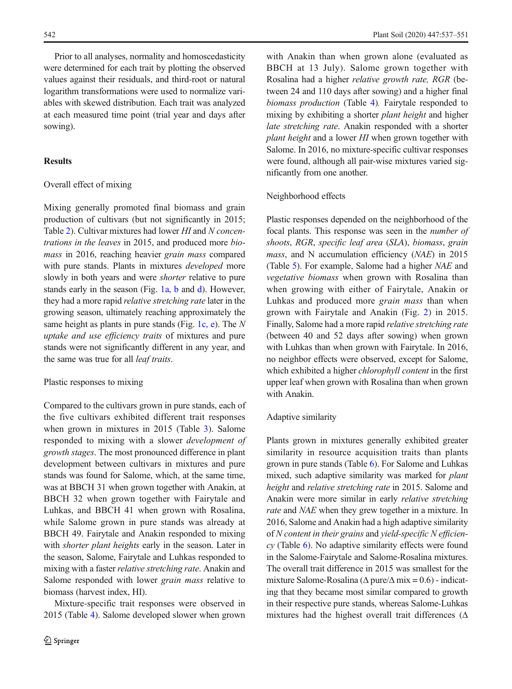Prior to all analyses, normality and homoscedasticity were determined for each trait by plotting the observed values against their residuals, and third-root or natural logarithm transformations were used to normalize variables with skewed distribution. Each trait was analyzed at each measured time point (trial year and days after sowing).

## **Results**

#### Overall effect of mixing

Mixing generally promoted final biomass and grain production of cultivars (but not significantly in 2015; Table [2](#page-6-0)). Cultivar mixtures had lower HI and N concentrations in the leaves in 2015, and produced more biomass in 2016, reaching heavier grain mass compared with pure stands. Plants in mixtures *developed* more slowly in both years and were shorter relative to pure stands early in the season (Fig. [1a, b](#page-7-0) and [d\)](#page-7-0). However, they had a more rapid *relative stretching rate* later in the growing season, ultimately reaching approximately the same height as plants in pure stands (Fig. [1c, e](#page-7-0)). The  $N$ uptake and use efficiency traits of mixtures and pure stands were not significantly different in any year, and the same was true for all leaf traits.

#### Plastic responses to mixing

Compared to the cultivars grown in pure stands, each of the five cultivars exhibited different trait responses when grown in mixtures in 2015 (Table [3\)](#page-8-0). Salome responded to mixing with a slower development of growth stages. The most pronounced difference in plant development between cultivars in mixtures and pure stands was found for Salome, which, at the same time, was at BBCH 31 when grown together with Anakin, at BBCH 32 when grown together with Fairytale and Luhkas, and BBCH 41 when grown with Rosalina, while Salome grown in pure stands was already at BBCH 49. Fairytale and Anakin responded to mixing with *shorter plant heights* early in the season. Later in the season, Salome, Fairytale and Luhkas responded to mixing with a faster relative stretching rate. Anakin and Salome responded with lower *grain mass* relative to biomass (harvest index, HI).

Mixture-specific trait responses were observed in 2015 (Table [4](#page-9-0)). Salome developed slower when grown with Anakin than when grown alone (evaluated as BBCH at 13 July). Salome grown together with Rosalina had a higher relative growth rate, RGR (between 24 and 110 days after sowing) and a higher final biomass production (Table [4\)](#page-9-0). Fairytale responded to mixing by exhibiting a shorter plant height and higher late stretching rate. Anakin responded with a shorter plant height and a lower HI when grown together with Salome. In 2016, no mixture-specific cultivar responses were found, although all pair-wise mixtures varied significantly from one another.

#### Neighborhood effects

Plastic responses depended on the neighborhood of the focal plants. This response was seen in the number of shoots, RGR, specific leaf area (SLA), biomass, grain mass, and N accumulation efficiency (NAE) in 2015 (Table [5](#page-10-0)). For example, Salome had a higher NAE and vegetative biomass when grown with Rosalina than when growing with either of Fairytale, Anakin or Luhkas and produced more grain mass than when grown with Fairytale and Anakin (Fig. [2\)](#page-10-0) in 2015. Finally, Salome had a more rapid relative stretching rate (between 40 and 52 days after sowing) when grown with Luhkas than when grown with Fairytale. In 2016, no neighbor effects were observed, except for Salome, which exhibited a higher *chlorophyll content* in the first upper leaf when grown with Rosalina than when grown with Anakin.

#### Adaptive similarity

Plants grown in mixtures generally exhibited greater similarity in resource acquisition traits than plants grown in pure stands (Table [6\)](#page-11-0). For Salome and Luhkas mixed, such adaptive similarity was marked for plant height and relative stretching rate in 2015. Salome and Anakin were more similar in early relative stretching rate and NAE when they grew together in a mixture. In 2016, Salome and Anakin had a high adaptive similarity of N content in their grains and yield-specific N efficien $cy$  (Table [6\)](#page-11-0). No adaptive similarity effects were found in the Salome-Fairytale and Salome-Rosalina mixtures. The overall trait difference in 2015 was smallest for the mixture Salome-Rosalina ( $\triangle$  pure/ $\triangle$  mix = 0.6) - indicating that they became most similar compared to growth in their respective pure stands, whereas Salome-Luhkas mixtures had the highest overall trait differences ( $\Delta$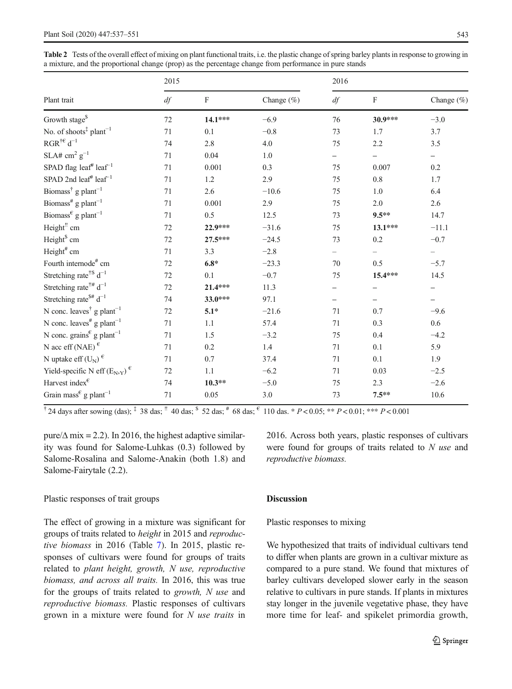<span id="page-6-0"></span>Table 2 Tests of the overall effect of mixing on plant functional traits, i.e. the plastic change of spring barley plants in response to growing in a mixture, and the proportional change (prop) as the percentage change from performance in pure stands

|                                                                   | 2015   |             |               | 2016                     |           |                          |  |
|-------------------------------------------------------------------|--------|-------------|---------------|--------------------------|-----------|--------------------------|--|
| Plant trait                                                       | df     | $\mathbf F$ | Change $(\%)$ | df                       | F         | Change (%)               |  |
| Growth stage <sup>\$</sup>                                        | 72     | $14.1***$   | $-6.9$        | 76                       | 30.9***   | $-3.0$                   |  |
| No. of shoots <sup>‡</sup> plant <sup>-1</sup>                    | 71     | 0.1         | $-0.8$        | 73                       | 1.7       | 3.7                      |  |
| ${\rm RGR}^{\dagger \in}$ ${\rm d}^{-1}$                          | 74     | 2.8         | 4.0           | 75                       | 2.2       | 3.5                      |  |
| SLA# $\text{cm}^2$ $\text{g}^{-1}$                                | 71     | 0.04        | 1.0           | $\overline{\phantom{0}}$ |           | $\overline{\phantom{0}}$ |  |
| SPAD flag leaf <sup>#</sup> leaf <sup>-1</sup>                    | 71     | 0.001       | 0.3           | 75                       | 0.007     | 0.2                      |  |
| SPAD 2nd leaf <sup>#</sup> leaf <sup>-1</sup>                     | 71     | 1.2         | 2.9           | 75                       | 0.8       | 1.7                      |  |
| Biomass <sup>†</sup> g plant <sup>-1</sup>                        | 71     | 2.6         | $-10.6$       | 75                       | 1.0       | 6.4                      |  |
| Biomass <sup>#</sup> g plant <sup>-1</sup>                        | 71     | 0.001       | 2.9           | 75                       | 2.0       | 2.6                      |  |
| Biomass <sup><math>\epsilon</math></sup> g plant <sup>-1</sup>    | 71     | 0.5         | 12.5          | 73                       | $9.5***$  | 14.7                     |  |
| Height" cm                                                        | 72     | 22.9***     | $-31.6$       | 75                       | $13.1***$ | $-11.1$                  |  |
| Height <sup>§</sup> cm                                            | $72\,$ | 27.5***     | $-24.5$       | 73                       | 0.2       | $-0.7$                   |  |
| Height <sup>#</sup> cm                                            | 71     | 3.3         | $-2.8$        | $\overline{\phantom{0}}$ |           | $\overline{\phantom{0}}$ |  |
| Fourth internode# cm                                              | 72     | $6.8*$      | $-23.3$       | 70                       | 0.5       | $-5.7$                   |  |
| Stretching rate <sup>!!\$</sup> $d^{-1}$                          | 72     | 0.1         | $-0.7$        | 75                       | 15.4***   | 14.5                     |  |
| Stretching rate"# $d^{-1}$                                        | 72     | 21.4***     | 11.3          |                          |           |                          |  |
| Stretching rate <sup>\$#</sup> $d^{-1}$                           | 74     | 33.0***     | 97.1          | $\overline{\phantom{0}}$ |           | $\overline{\phantom{0}}$ |  |
| N conc. leaves <sup>†</sup> g plant <sup>-1</sup>                 | $72\,$ | $5.1*$      | $-21.6$       | 71                       | 0.7       | $-9.6$                   |  |
| N conc. leaves <sup>#</sup> g plant <sup>-1</sup>                 | 71     | 1.1         | 57.4          | 71                       | 0.3       | 0.6                      |  |
| N conc. grains $\epsilon$ g plant <sup>-1</sup>                   | 71     | 1.5         | $-3.2$        | 75                       | 0.4       | $-4.2$                   |  |
| N acc eff (NAE) $\epsilon$                                        | 71     | 0.2         | 1.4           | 71                       | 0.1       | 5.9                      |  |
| N uptake eff $(U_N)^6$                                            | 71     | 0.7         | 37.4          | 71                       | 0.1       | 1.9                      |  |
| Yield-specific N eff $(E_N, Y)$ <sup><math>\epsilon</math></sup>  | 72     | 1.1         | $-6.2$        | 71                       | 0.03      | $-2.5$                   |  |
| Harvest index $\epsilon$                                          | 74     | $10.3**$    | $-5.0$        | 75                       | 2.3       | $-2.6$                   |  |
| Grain mass <sup><math>\epsilon</math></sup> g plant <sup>-1</sup> | 71     | 0.05        | 3.0           | 73                       | $7.5***$  | 10.6                     |  |

<sup>†</sup> 24 days after sowing (das); <sup>‡</sup> 38 das; <sup>‼</sup> 40 das; <sup>\$</sup> 52 das; <sup>#</sup> 68 das; <sup>€</sup> 110 das. \* *P* < 0.05; \*\* *P* < 0.01; \*\*\* *P* < 0.001

pure/ $\Delta$  mix = 2.2). In 2016, the highest adaptive similarity was found for Salome-Luhkas (0.3) followed by Salome-Rosalina and Salome-Anakin (both 1.8) and Salome-Fairytale (2.2).

#### Plastic responses of trait groups

The effect of growing in a mixture was significant for groups of traits related to height in 2015 and reproductive biomass in 2016 (Table [7](#page-11-0)). In 2015, plastic responses of cultivars were found for groups of traits related to plant height, growth, N use, reproductive biomass, and across all traits. In 2016, this was true for the groups of traits related to growth, N use and reproductive biomass. Plastic responses of cultivars grown in a mixture were found for N use traits in 2016. Across both years, plastic responses of cultivars were found for groups of traits related to N use and reproductive biomass.

## Discussion

#### Plastic responses to mixing

We hypothesized that traits of individual cultivars tend to differ when plants are grown in a cultivar mixture as compared to a pure stand. We found that mixtures of barley cultivars developed slower early in the season relative to cultivars in pure stands. If plants in mixtures stay longer in the juvenile vegetative phase, they have more time for leaf- and spikelet primordia growth,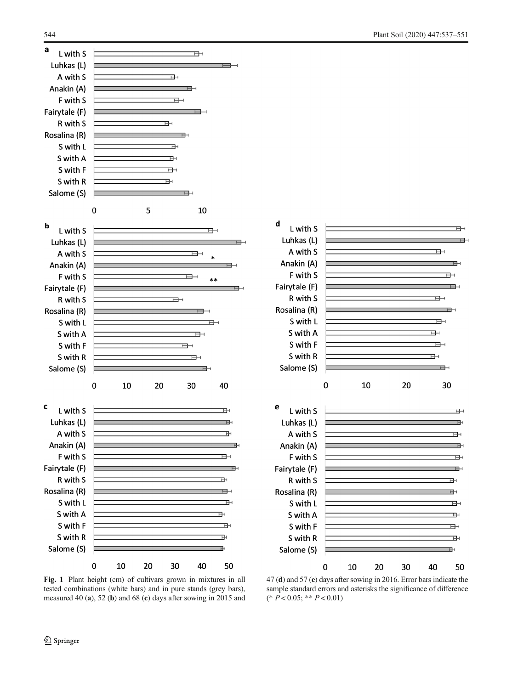<span id="page-7-0"></span>





Fig. 1 Plant height (cm) of cultivars grown in mixtures in all tested combinations (white bars) and in pure stands (grey bars), measured 40 (a), 52 (b) and 68 (c) days after sowing in 2015 and

47 (d) and 57 (e) days after sowing in 2016. Error bars indicate the sample standard errors and asterisks the significance of difference  $(*\overrightarrow{P}$  < 0.05; \*\*  $\overrightarrow{P}$  < 0.01)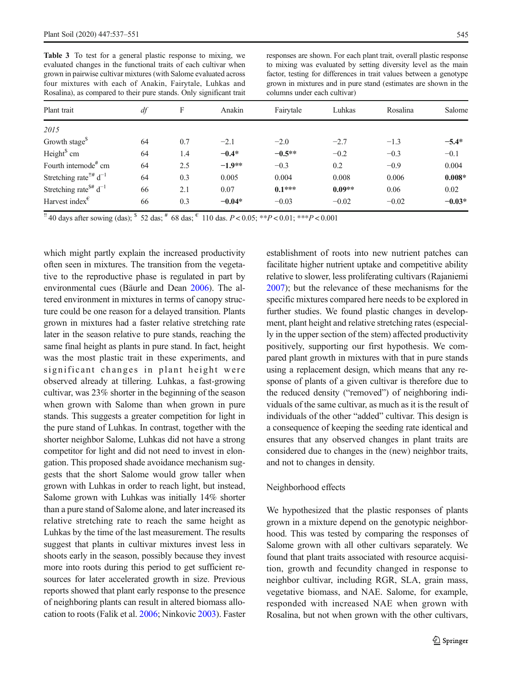<span id="page-8-0"></span>Table 3 To test for a general plastic response to mixing, we evaluated changes in the functional traits of each cultivar when grown in pairwise cultivar mixtures (with Salome evaluated across four mixtures with each of Anakin, Fairytale, Luhkas and Rosalina), as compared to their pure stands. Only significant trait

responses are shown. For each plant trait, overall plastic response to mixing was evaluated by setting diversity level as the main factor, testing for differences in trait values between a genotype grown in mixtures and in pure stand (estimates are shown in the columns under each cultivar)

| Plant trait                              | df | F   | Anakin   | Fairytale | Luhkas   | Rosalina | Salome   |
|------------------------------------------|----|-----|----------|-----------|----------|----------|----------|
| 2015                                     |    |     |          |           |          |          |          |
| Growth stage <sup>\$</sup>               | 64 | 0.7 | $-2.1$   | $-2.0$    | $-2.7$   | $-1.3$   | $-5.4*$  |
| Height <sup><math>\delta</math></sup> cm | 64 | 1.4 | $-0.4*$  | $-0.5***$ | $-0.2$   | $-0.3$   | $-0.1$   |
| Fourth internode <sup>#</sup> cm         | 64 | 2.5 | $-1.9**$ | $-0.3$    | 0.2      | $-0.9$   | 0.004    |
| Stretching rate <sup>!!#</sup> $d^{-1}$  | 64 | 0.3 | 0.005    | 0.004     | 0.008    | 0.006    | $0.008*$ |
| Stretching rate <sup>\$#</sup> $d^{-1}$  | 66 | 2.1 | 0.07     | $0.1***$  | $0.09**$ | 0.06     | 0.02     |
| Harvest index $\epsilon$                 | 66 | 0.3 | $-0.04*$ | $-0.03$   | $-0.02$  | $-0.02$  | $-0.03*$ |

<sup>!!</sup> 40 days after sowing (das);  $\frac{1}{2}$  52 das;  $\frac{1}{2}$  68 das;  $\frac{1}{2}$  110 das.  $P < 0.05$ ;  $\frac{1}{2}$   $\frac{1}{2}$   $\frac{1}{2}$   $\frac{1}{2}$   $\frac{1}{2}$   $\frac{1}{2}$   $\frac{1}{2}$   $\frac{1}{2}$   $\frac{1}{2}$   $\frac{1}{2}$   $\frac{1}{2}$   $\frac{1}{2}$   $\$ 

which might partly explain the increased productivity often seen in mixtures. The transition from the vegetative to the reproductive phase is regulated in part by environmental cues (Bäurle and Dean [2006](#page-13-0)). The altered environment in mixtures in terms of canopy structure could be one reason for a delayed transition. Plants grown in mixtures had a faster relative stretching rate later in the season relative to pure stands, reaching the same final height as plants in pure stand. In fact, height was the most plastic trait in these experiments, and significant changes in plant height were observed already at tillering. Luhkas, a fast-growing cultivar, was 23% shorter in the beginning of the season when grown with Salome than when grown in pure stands. This suggests a greater competition for light in the pure stand of Luhkas. In contrast, together with the shorter neighbor Salome, Luhkas did not have a strong competitor for light and did not need to invest in elongation. This proposed shade avoidance mechanism suggests that the short Salome would grow taller when grown with Luhkas in order to reach light, but instead, Salome grown with Luhkas was initially 14% shorter than a pure stand of Salome alone, and later increased its relative stretching rate to reach the same height as Luhkas by the time of the last measurement. The results suggest that plants in cultivar mixtures invest less in shoots early in the season, possibly because they invest more into roots during this period to get sufficient resources for later accelerated growth in size. Previous reports showed that plant early response to the presence of neighboring plants can result in altered biomass allocation to roots (Falik et al. [2006](#page-13-0); Ninkovic [2003](#page-14-0)). Faster

establishment of roots into new nutrient patches can facilitate higher nutrient uptake and competitive ability relative to slower, less proliferating cultivars (Rajaniemi [2007](#page-14-0)); but the relevance of these mechanisms for the specific mixtures compared here needs to be explored in further studies. We found plastic changes in development, plant height and relative stretching rates (especially in the upper section of the stem) affected productivity positively, supporting our first hypothesis. We compared plant growth in mixtures with that in pure stands using a replacement design, which means that any response of plants of a given cultivar is therefore due to the reduced density ("removed") of neighboring individuals of the same cultivar, as much as it is the result of individuals of the other "added" cultivar. This design is a consequence of keeping the seeding rate identical and ensures that any observed changes in plant traits are considered due to changes in the (new) neighbor traits, and not to changes in density.

## Neighborhood effects

We hypothesized that the plastic responses of plants grown in a mixture depend on the genotypic neighborhood. This was tested by comparing the responses of Salome grown with all other cultivars separately. We found that plant traits associated with resource acquisition, growth and fecundity changed in response to neighbor cultivar, including RGR, SLA, grain mass, vegetative biomass, and NAE. Salome, for example, responded with increased NAE when grown with Rosalina, but not when grown with the other cultivars,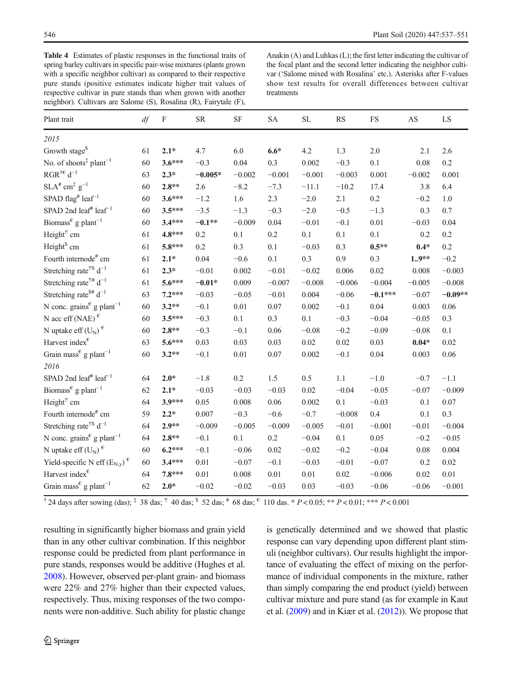<span id="page-9-0"></span>Table 4 Estimates of plastic responses in the functional traits of spring barley cultivars in specific pair-wise mixtures (plants grown with a specific neighbor cultivar) as compared to their respective pure stands (positive estimates indicate higher trait values of respective cultivar in pure stands than when grown with another neighbor). Cultivars are Salome (S), Rosalina (R), Fairytale (F),

Anakin (A) and Luhkas (L); the first letter indicating the cultivar of the focal plant and the second letter indicating the neighbor cultivar ('Salome mixed with Rosalina' etc.). Asterisks after F-values show test results for overall differences between cultivar treatments

| Plant trait                                                       | df | $\rm F$  | <b>SR</b> | <b>SF</b> | SA       | $\rm SL$ | RS       | <b>FS</b> | $\mathbf{A}\mathbf{S}$ | <b>LS</b> |
|-------------------------------------------------------------------|----|----------|-----------|-----------|----------|----------|----------|-----------|------------------------|-----------|
| 2015                                                              |    |          |           |           |          |          |          |           |                        |           |
| Growth stage <sup>\$</sup>                                        | 61 | $2.1*$   | 4.7       | 6.0       | $6.6*$   | 4.2      | 1.3      | 2.0       | 2.1                    | 2.6       |
| No. of shoots <sup>‡</sup> plant <sup>-1</sup>                    | 60 | $3.6***$ | $-0.3$    | 0.04      | 0.3      | 0.002    | $-0.3$   | 0.1       | 0.08                   | 0.2       |
| ${\rm RGR}^{\dagger \in}$ ${\rm d}^{-1}$                          | 63 | $2.3*$   | $-0.005*$ | $-0.002$  | $-0.001$ | $-0.001$ | $-0.003$ | 0.001     | $-0.002$               | 0.001     |
| $SLA^{\#}$ cm <sup>2</sup> g <sup>-1</sup>                        | 60 | $2.8**$  | 2.6       | $-8.2$    | $-7.3$   | $-11.1$  | $-10.2$  | 17.4      | 3.8                    | 6.4       |
| SPAD flag <sup>#</sup> leaf <sup>-1</sup>                         | 60 | $3.6***$ | $-1.2$    | 1.6       | 2.3      | $-2.0$   | 2.1      | 0.2       | $-0.2$                 | 1.0       |
| SPAD 2nd leaf <sup>#</sup> leaf <sup>-1</sup>                     | 60 | $3.5***$ | $-3.5$    | $-1.3$    | $-0.3$   | $-2.0$   | $-0.5$   | $-1.3$    | 0.3                    | 0.7       |
| Biomass <sup><math>\epsilon</math></sup> g plant <sup>-1</sup>    | 60 | $3.4***$ | $-0.1**$  | $-0.009$  | 0.04     | $-0.01$  | $-0.1$   | 0.01      | $-0.03$                | 0.04      |
| Height" cm                                                        | 61 | 4.8***   | 0.2       | 0.1       | 0.2      | 0.1      | 0.1      | 0.1       | 0.2                    | 0.2       |
| Height $§$ cm                                                     | 61 | 5.8***   | 0.2       | 0.3       | 0.1      | $-0.03$  | 0.3      | $0.5**$   | $0.4*$                 | 0.2       |
| Fourth internode# cm                                              | 61 | $2.1*$   | 0.04      | $-0.6$    | 0.1      | 0.3      | 0.9      | 0.3       | $1.9**$                | $-0.2$    |
| Stretching rate <sup>!!\$</sup> $d^{-1}$                          | 61 | $2.3*$   | $-0.01$   | 0.002     | $-0.01$  | $-0.02$  | 0.006    | 0.02      | 0.008                  | $-0.003$  |
| Stretching rate"# $d^{-1}$                                        | 61 | $5.6***$ | $-0.01*$  | 0.009     | $-0.007$ | $-0.008$ | $-0.006$ | $-0.004$  | $-0.005$               | $-0.008$  |
| Stretching rate <sup>\$#</sup> $d^{-1}$                           | 63 | $7.2***$ | $-0.03$   | $-0.05$   | $-0.01$  | 0.004    | $-0.06$  | $-0.1***$ | $-0.07$                | $-0.09**$ |
| N conc. grains $\epsilon$ g plant <sup>-1</sup>                   | 60 | $3.2**$  | $-0.1$    | 0.01      | 0.07     | 0.002    | $-0.1$   | 0.04      | 0.003                  | 0.06      |
| N acc eff (NAE) $\epsilon$                                        | 60 | $3.5***$ | $-0.3$    | 0.1       | 0.3      | 0.1      | $-0.3$   | $-0.04$   | $-0.05$                | 0.3       |
| N uptake eff $(U_N)^6$                                            | 60 | $2.8**$  | $-0.3$    | $-0.1$    | 0.06     | $-0.08$  | $-0.2$   | $-0.09$   | $-0.08$                | 0.1       |
| Harvest index $\epsilon$                                          | 63 | $5.6***$ | 0.03      | 0.03      | 0.03     | 0.02     | 0.02     | 0.03      | $0.04*$                | 0.02      |
| Grain mass <sup><math>\epsilon</math></sup> g plant <sup>-1</sup> | 60 | $3.2**$  | $-0.1$    | 0.01      | 0.07     | 0.002    | $-0.1$   | 0.04      | 0.003                  | $0.06\,$  |
| 2016                                                              |    |          |           |           |          |          |          |           |                        |           |
| SPAD 2nd leaf <sup>#</sup> leaf <sup>-1</sup>                     | 64 | $2.0*$   | $-1.8$    | 0.2       | 1.5      | 0.5      | 1.1      | $-1.0$    | $-0.7$                 | $-1.1$    |
| Biomass <sup><math>\epsilon</math></sup> g plant <sup>-1</sup>    | 62 | $2.1*$   | $-0.03$   | $-0.03$   | $-0.03$  | 0.02     | $-0.04$  | $-0.05$   | $-0.07$                | $-0.009$  |
| Height" cm                                                        | 64 | 3.9***   | 0.05      | 0.008     | 0.06     | 0.002    | 0.1      | $-0.03$   | 0.1                    | 0.07      |
| Fourth internode# cm                                              | 59 | $2.2*$   | 0.007     | $-0.3$    | $-0.6$   | $-0.7$   | $-0.008$ | 0.4       | 0.1                    | 0.3       |
| Stretching rate" $d^{-1}$                                         | 64 | $2.9**$  | $-0.009$  | $-0.005$  | $-0.009$ | $-0.005$ | $-0.01$  | $-0.001$  | $-0.01$                | $-0.004$  |
| N conc. grains $\epsilon$ g plant <sup>-1</sup>                   | 64 | $2.8**$  | $-0.1$    | 0.1       | 0.2      | $-0.04$  | 0.1      | 0.05      | $-0.2$                 | $-0.05$   |
| N uptake eff $(U_N)^e$                                            | 60 | $6.2***$ | $-0.1$    | $-0.06$   | 0.02     | $-0.02$  | $-0.2$   | $-0.04$   | 0.08                   | 0.004     |
| Yield-specific N eff $(E_{N,y})$ <sup><math>\epsilon</math></sup> | 60 | $3.4***$ | 0.01      | $-0.07$   | $-0.1$   | $-0.03$  | $-0.01$  | $-0.07$   | 0.2                    | 0.02      |
| Harvest index $\epsilon$                                          | 64 | 7.8***   | 0.01      | 0.008     | 0.01     | 0.01     | 0.02     | $-0.006$  | 0.02                   | 0.01      |
| Grain mass <sup><math>\epsilon</math></sup> g plant <sup>-1</sup> | 62 | $2.0*$   | $-0.02$   | $-0.02$   | $-0.03$  | 0.03     | $-0.03$  | $-0.06$   | $-0.06$                | $-0.001$  |

<sup>†</sup> 24 days after sowing (das);  $\frac{1}{4}$  38 das;  $\frac{1}{4}$  40 das;  $\frac{1}{8}$  52 das;  $\frac{1}{4}$  68 das;  $\frac{1}{6}$  110 das.  $\frac{*}{2}$  P < 0.05;  $\frac{1}{4}$  P < 0.01;  $\frac{1}{4}$   $\frac{1}{4}$  P < 0.001

resulting in significantly higher biomass and grain yield than in any other cultivar combination. If this neighbor response could be predicted from plant performance in pure stands, responses would be additive (Hughes et al. [2008](#page-13-0)). However, observed per-plant grain- and biomass were 22% and 27% higher than their expected values, respectively. Thus, mixing responses of the two components were non-additive. Such ability for plastic change is genetically determined and we showed that plastic response can vary depending upon different plant stimuli (neighbor cultivars). Our results highlight the importance of evaluating the effect of mixing on the performance of individual components in the mixture, rather than simply comparing the end product (yield) between cultivar mixture and pure stand (as for example in Kaut et al. [\(2009\)](#page-13-0) and in Kiær et al. ([2012](#page-13-0))). We propose that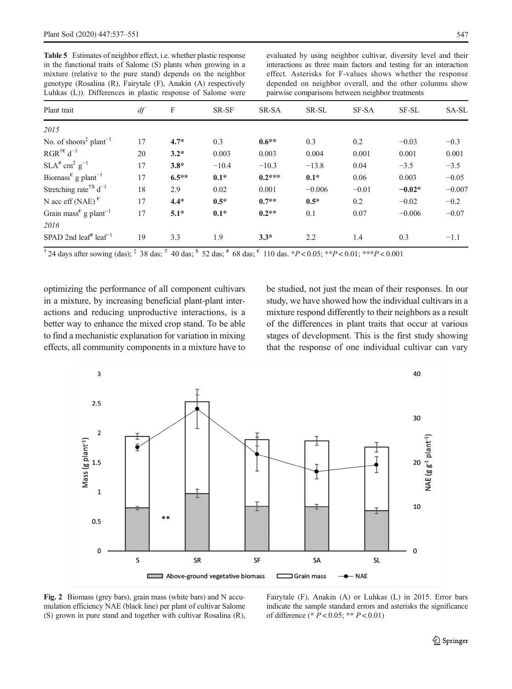<span id="page-10-0"></span>Table 5 Estimates of neighbor effect, i.e. whether plastic response in the functional traits of Salome (S) plants when growing in a mixture (relative to the pure stand) depends on the neighbor genotype (Rosalina (R), Fairytale (F), Anakin (A) respectively Luhkas (L)). Differences in plastic response of Salome were

| Plant trait                                                       | df | F        | SR-SF   | SR-SA    | SR-SL    | SF-SA   | SF-SL    | SA-SL    |
|-------------------------------------------------------------------|----|----------|---------|----------|----------|---------|----------|----------|
| 2015                                                              |    |          |         |          |          |         |          |          |
| No. of shoots <sup>‡</sup> plant <sup>-1</sup>                    | 17 | $4.7*$   | 0.3     | $0.6**$  | 0.3      | 0.2     | $-0.03$  | $-0.3$   |
| $\text{RGR}^{\dagger \varepsilon}$ d $^{-1}$                      | 20 | $3.2*$   | 0.003   | 0.003    | 0.004    | 0.001   | 0.001    | 0.001    |
| $SLA^{\#}$ cm <sup>2</sup> g <sup>-1</sup>                        | 17 | $3.8*$   | $-10.4$ | $-10.3$  | $-13.8$  | 0.04    | $-3.5$   | $-3.5$   |
| Biomass <sup><math>\epsilon</math></sup> g plant <sup>-1</sup>    | 17 | $6.5***$ | $0.1*$  | $0.2***$ | $0.1*$   | 0.06    | 0.003    | $-0.05$  |
| Stretching rate <sup>!!\$</sup> $d^{-1}$                          | 18 | 2.9      | 0.02    | 0.001    | $-0.006$ | $-0.01$ | $-0.02*$ | $-0.007$ |
| N acc eff (NAE) $\epsilon$                                        | 17 | $4.4*$   | $0.5*$  | $0.7**$  | $0.5*$   | 0.2     | $-0.02$  | $-0.2$   |
| Grain mass <sup><math>\epsilon</math></sup> g plant <sup>-1</sup> | 17 | $5.1*$   | $0.1*$  | $0.2**$  | 0.1      | 0.07    | $-0.006$ | $-0.07$  |
| 2016                                                              |    |          |         |          |          |         |          |          |
| SPAD 2nd leaf <sup>#</sup> leaf <sup>-1</sup>                     | 19 | 3.3      | 1.9     | $3.3*$   | 2.2      | 1.4     | 0.3      | $-1.1$   |
|                                                                   |    |          |         |          |          |         |          |          |

<sup>†</sup> 24 days after sowing (das); <sup>‡</sup> 38 das; <sup>"</sup> 40 das; <sup>\$</sup> 52 das; <sup>#</sup> 68 das; <sup>€</sup> 110 das. \**P* < 0.05; \*\**P* < 0.01; \*\*\**P* < 0.001

optimizing the performance of all component cultivars in a mixture, by increasing beneficial plant-plant interactions and reducing unproductive interactions, is a better way to enhance the mixed crop stand. To be able to find a mechanistic explanation for variation in mixing effects, all community components in a mixture have to be studied, not just the mean of their responses. In our study, we have showed how the individual cultivars in a mixture respond differently to their neighbors as a result of the differences in plant traits that occur at various stages of development. This is the first study showing that the response of one individual cultivar can vary





Fairytale (F), Anakin (A) or Luhkas (L) in 2015. Error bars indicate the sample standard errors and asterisks the significance of difference (\*  $P < 0.05$ ; \*\*  $P < 0.01$ )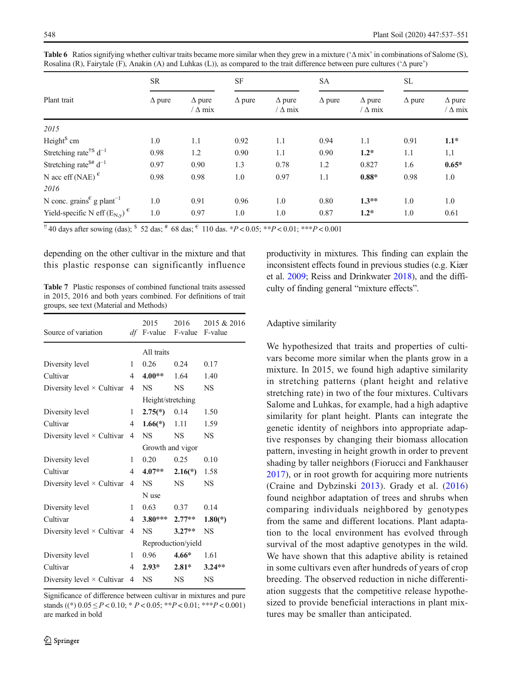|                                                 | SR            |                               |               | <b>SF</b>                      |               | SA                             |               | SL                             |  |
|-------------------------------------------------|---------------|-------------------------------|---------------|--------------------------------|---------------|--------------------------------|---------------|--------------------------------|--|
| Plant trait                                     | $\Delta$ pure | $\Delta$ pure<br>$\Delta$ mix | $\Delta$ pure | $\Delta$ pure<br>$/\Delta$ mix | $\Delta$ pure | $\Delta$ pure<br>$/\Delta$ mix | $\Delta$ pure | $\Delta$ pure<br>$/\Delta$ mix |  |
| 2015                                            |               |                               |               |                                |               |                                |               |                                |  |
| Height $§$ cm                                   | 1.0           | 1.1                           | 0.92          | 1.1                            | 0.94          | 1.1                            | 0.91          | $1.1*$                         |  |
| Stretching rate <sup>!!\$</sup> $d^{-1}$        | 0.98          | 1.2                           | 0.90          | 1.1                            | 0.90          | $1.2*$                         | 1.1           | 1,1                            |  |
| Stretching rate <sup>\$#</sup> $d^{-1}$         | 0.97          | 0.90                          | 1.3           | 0.78                           | 1.2           | 0.827                          | 1.6           | $0.65*$                        |  |
| N acc eff (NAE) $\epsilon$                      | 0.98          | 0.98                          | 1.0           | 0.97                           | 1.1           | $0.88*$                        | 0.98          | 1.0                            |  |
| 2016                                            |               |                               |               |                                |               |                                |               |                                |  |
| N conc. grains $\epsilon$ g plant <sup>-1</sup> | 1.0           | 0.91                          | 0.96          | 1.0                            | 0.80          | $1.3**$                        | 1.0           | 1.0                            |  |
| Yield-specific N eff $(E_{N,v})^{\epsilon}$     | 1.0           | 0.97                          | 1.0           | 1.0                            | 0.87          | $1.2*$                         | 1.0           | 0.61                           |  |

<span id="page-11-0"></span>Table 6 Ratios signifying whether cultivar traits became more similar when they grew in a mixture ('Δ mix' in combinations of Salome (S), Rosalina (R), Fairytale (F), Anakin (A) and Luhkas (L)), as compared to the trait difference between pure cultures ('Δ pure')

<sup>!!</sup> 40 days after sowing (das);  $\frac{1}{2}$  52 das;  $\frac{1}{2}$  68 das;  $\frac{1}{2}$  110 das.  $\frac{k}{2}$  < 0.05;  $\frac{k}{2}$  < 0.01;  $\frac{k}{2}$  < 0.001

depending on the other cultivar in the mixture and that this plastic response can significantly influence

Table 7 Plastic responses of combined functional traits assessed in 2015, 2016 and both years combined. For definitions of trait groups, see text (Material and Methods)

| Source of variation               |                | 2015<br>$df$ F-value F-value F-value | 2016               | 2015 & 2016 |
|-----------------------------------|----------------|--------------------------------------|--------------------|-------------|
|                                   |                | All traits                           |                    |             |
| Diversity level                   | 1              | 0.26                                 | 0.24               | 0.17        |
| Cultivar                          | 4              | $4.00**$                             | 1.64               | 1.40        |
| Diversity level $\times$ Cultivar | 4              | <b>NS</b>                            | <b>NS</b>          | <b>NS</b>   |
|                                   |                | Height/stretching                    |                    |             |
| Diversity level                   | $\mathbf{1}$   | $2.75(*)$                            | 0.14               | 1.50        |
| Cultivar                          | 4              | $1.66(*)$                            | 1.11               | 1.59        |
| Diversity level $\times$ Cultivar | $\overline{4}$ | <b>NS</b>                            | NS.                | NS.         |
|                                   |                | Growth and vigor                     |                    |             |
| Diversity level                   | 1              | 0.20                                 | 0.25               | 0.10        |
| Cultivar                          | 4              | $4.07**$                             | $2.16(*)$          | 1.58        |
| Diversity level $\times$ Cultivar | 4              | NS -                                 | NS.                | <b>NS</b>   |
|                                   |                | N use                                |                    |             |
| Diversity level                   | 1              | 0.63                                 | 0.37               | 0.14        |
| Cultivar                          | 4              | $3.80***$                            | $2.77**$           | $1.80(*)$   |
| Diversity level $\times$ Cultivar | $\overline{4}$ | NS -                                 | $3.27**$           | <b>NS</b>   |
|                                   |                |                                      | Reproduction/yield |             |
| Diversity level                   | 1              | 0.96                                 | $4.66*$            | 1.61        |
| Cultivar                          | 4              | $2.93*$                              | $2.81*$            | $3.24**$    |
| Diversity level $\times$ Cultivar | 4              | NS.                                  | <b>NS</b>          | <b>NS</b>   |

Significance of difference between cultivar in mixtures and pure stands ((\*)  $0.05 \le P < 0.10$ ; \*  $P < 0.05$ ; \*\* $P < 0.01$ ; \*\*\* $P < 0.001$ ) are marked in bold

productivity in mixtures. This finding can explain the inconsistent effects found in previous studies (e.g. Kiær et al. [2009;](#page-13-0) Reiss and Drinkwater [2018](#page-14-0)), and the difficulty of finding general "mixture effects".

#### Adaptive similarity

We hypothesized that traits and properties of cultivars become more similar when the plants grow in a mixture. In 2015, we found high adaptive similarity in stretching patterns (plant height and relative stretching rate) in two of the four mixtures. Cultivars Salome and Luhkas, for example, had a high adaptive similarity for plant height. Plants can integrate the genetic identity of neighbors into appropriate adaptive responses by changing their biomass allocation pattern, investing in height growth in order to prevent shading by taller neighbors (Fiorucci and Fankhauser [2017](#page-13-0)), or in root growth for acquiring more nutrients (Craine and Dybzinski [2013](#page-13-0)). Grady et al. ([2016](#page-13-0)) found neighbor adaptation of trees and shrubs when comparing individuals neighbored by genotypes from the same and different locations. Plant adaptation to the local environment has evolved through survival of the most adaptive genotypes in the wild. We have shown that this adaptive ability is retained in some cultivars even after hundreds of years of crop breeding. The observed reduction in niche differentiation suggests that the competitive release hypothesized to provide beneficial interactions in plant mixtures may be smaller than anticipated.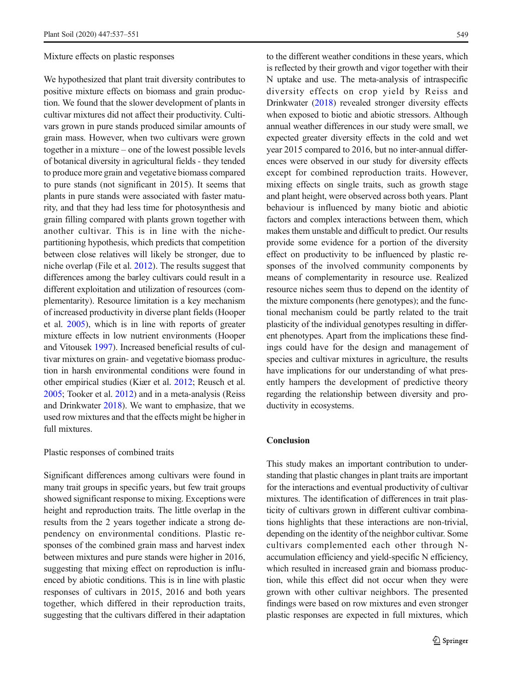#### Mixture effects on plastic responses

We hypothesized that plant trait diversity contributes to positive mixture effects on biomass and grain production. We found that the slower development of plants in cultivar mixtures did not affect their productivity. Cultivars grown in pure stands produced similar amounts of grain mass. However, when two cultivars were grown together in a mixture – one of the lowest possible levels of botanical diversity in agricultural fields - they tended to produce more grain and vegetative biomass compared to pure stands (not significant in 2015). It seems that plants in pure stands were associated with faster maturity, and that they had less time for photosynthesis and grain filling compared with plants grown together with another cultivar. This is in line with the nichepartitioning hypothesis, which predicts that competition between close relatives will likely be stronger, due to niche overlap (File et al. [2012\)](#page-13-0). The results suggest that differences among the barley cultivars could result in a different exploitation and utilization of resources (complementarity). Resource limitation is a key mechanism of increased productivity in diverse plant fields (Hooper et al. [2005](#page-13-0)), which is in line with reports of greater mixture effects in low nutrient environments (Hooper and Vitousek [1997](#page-13-0)). Increased beneficial results of cultivar mixtures on grain- and vegetative biomass production in harsh environmental conditions were found in other empirical studies (Kiær et al. [2012;](#page-13-0) Reusch et al. [2005](#page-14-0); Tooker et al. [2012\)](#page-14-0) and in a meta-analysis (Reiss and Drinkwater [2018](#page-14-0)). We want to emphasize, that we used row mixtures and that the effects might be higher in full mixtures.

#### Plastic responses of combined traits

Significant differences among cultivars were found in many trait groups in specific years, but few trait groups showed significant response to mixing. Exceptions were height and reproduction traits. The little overlap in the results from the 2 years together indicate a strong dependency on environmental conditions. Plastic responses of the combined grain mass and harvest index between mixtures and pure stands were higher in 2016, suggesting that mixing effect on reproduction is influenced by abiotic conditions. This is in line with plastic responses of cultivars in 2015, 2016 and both years together, which differed in their reproduction traits, suggesting that the cultivars differed in their adaptation to the different weather conditions in these years, which is reflected by their growth and vigor together with their N uptake and use. The meta-analysis of intraspecific diversity effects on crop yield by Reiss and Drinkwater [\(2018](#page-14-0)) revealed stronger diversity effects when exposed to biotic and abiotic stressors. Although annual weather differences in our study were small, we expected greater diversity effects in the cold and wet year 2015 compared to 2016, but no inter-annual differences were observed in our study for diversity effects except for combined reproduction traits. However, mixing effects on single traits, such as growth stage and plant height, were observed across both years. Plant behaviour is influenced by many biotic and abiotic factors and complex interactions between them, which makes them unstable and difficult to predict. Our results provide some evidence for a portion of the diversity effect on productivity to be influenced by plastic responses of the involved community components by means of complementarity in resource use. Realized resource niches seem thus to depend on the identity of the mixture components (here genotypes); and the functional mechanism could be partly related to the trait plasticity of the individual genotypes resulting in different phenotypes. Apart from the implications these findings could have for the design and management of species and cultivar mixtures in agriculture, the results have implications for our understanding of what presently hampers the development of predictive theory regarding the relationship between diversity and productivity in ecosystems.

#### Conclusion

This study makes an important contribution to understanding that plastic changes in plant traits are important for the interactions and eventual productivity of cultivar mixtures. The identification of differences in trait plasticity of cultivars grown in different cultivar combinations highlights that these interactions are non-trivial, depending on the identity of the neighbor cultivar. Some cultivars complemented each other through Naccumulation efficiency and yield-specific N efficiency, which resulted in increased grain and biomass production, while this effect did not occur when they were grown with other cultivar neighbors. The presented findings were based on row mixtures and even stronger plastic responses are expected in full mixtures, which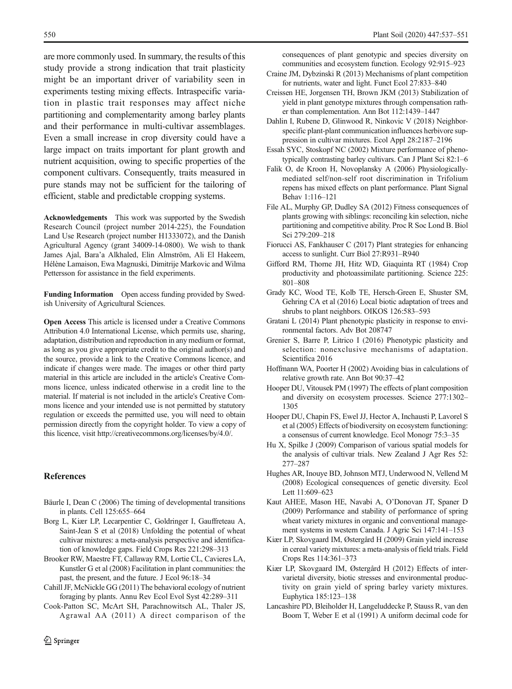<span id="page-13-0"></span>are more commonly used. In summary, the results of this study provide a strong indication that trait plasticity might be an important driver of variability seen in experiments testing mixing effects. Intraspecific variation in plastic trait responses may affect niche partitioning and complementarity among barley plants and their performance in multi-cultivar assemblages. Even a small increase in crop diversity could have a large impact on traits important for plant growth and nutrient acquisition, owing to specific properties of the component cultivars. Consequently, traits measured in pure stands may not be sufficient for the tailoring of efficient, stable and predictable cropping systems.

Acknowledgements This work was supported by the Swedish Research Council (project number 2014-225), the Foundation Land Use Research (project number H1333072), and the Danish Agricultural Agency (grant 34009-14-0800). We wish to thank James Ajal, Bara'a Alkhaled, Elin Almström, Ali El Hakeem, Hélène Lamaison, Ewa Magnuski, Dimitrije Markovic and Wilma Pettersson for assistance in the field experiments.

Funding Information Open access funding provided by Swedish University of Agricultural Sciences.

Open Access This article is licensed under a Creative Commons Attribution 4.0 International License, which permits use, sharing, adaptation, distribution and reproduction in any medium or format, as long as you give appropriate credit to the original author(s) and the source, provide a link to the Creative Commons licence, and indicate if changes were made. The images or other third party material in this article are included in the article's Creative Commons licence, unless indicated otherwise in a credit line to the material. If material is not included in the article's Creative Commons licence and your intended use is not permitted by statutory regulation or exceeds the permitted use, you will need to obtain permission directly from the copyright holder. To view a copy of this licence, visit http://creativecommons.org/licenses/by/4.0/.

## References

- Bäurle I, Dean C (2006) The timing of developmental transitions in plants. Cell 125:655–664
- Borg L, Kiær LP, Lecarpentier C, Goldringer I, Gauffreteau A, Saint-Jean S et al (2018) Unfolding the potential of wheat cultivar mixtures: a meta-analysis perspective and identification of knowledge gaps. Field Crops Res 221:298–313
- Brooker RW, Maestre FT, Callaway RM, Lortie CL, Cavieres LA, Kunstler G et al (2008) Facilitation in plant communities: the past, the present, and the future. J Ecol 96:18–34
- Cahill JF, McNickle GG (2011) The behavioral ecology of nutrient foraging by plants. Annu Rev Ecol Evol Syst 42:289–311
- Cook-Patton SC, McArt SH, Parachnowitsch AL, Thaler JS, Agrawal AA (2011) A direct comparison of the

consequences of plant genotypic and species diversity on communities and ecosystem function. Ecology 92:915–923

- Craine JM, Dybzinski R (2013) Mechanisms of plant competition for nutrients, water and light. Funct Ecol 27:833–840
- Creissen HE, Jorgensen TH, Brown JKM (2013) Stabilization of yield in plant genotype mixtures through compensation rather than complementation. Ann Bot 112:1439–1447
- Dahlin I, Rubene D, Glinwood R, Ninkovic V (2018) Neighborspecific plant-plant communication influences herbivore suppression in cultivar mixtures. Ecol Appl 28:2187–2196
- Essah SYC, Stoskopf NC (2002) Mixture performance of phenotypically contrasting barley cultivars. Can J Plant Sci 82:1–6
- Falik O, de Kroon H, Novoplansky A (2006) Physiologicallymediated self/non-self root discrimination in Trifolium repens has mixed effects on plant performance. Plant Signal Behav 1:116–121
- File AL, Murphy GP, Dudley SA (2012) Fitness consequences of plants growing with siblings: reconciling kin selection, niche partitioning and competitive ability. Proc R Soc Lond B. Biol Sci 279:209–218
- Fiorucci AS, Fankhauser C (2017) Plant strategies for enhancing access to sunlight. Curr Biol 27:R931–R940
- Gifford RM, Thorne JH, Hitz WD, Giaquinta RT (1984) Crop productivity and photoassimilate partitioning. Science 225: 801–808
- Grady KC, Wood TE, Kolb TE, Hersch-Green E, Shuster SM, Gehring CA et al (2016) Local biotic adaptation of trees and shrubs to plant neighbors. OIKOS 126:583–593
- Gratani L (2014) Plant phenotypic plasticity in response to environmental factors. Adv Bot 208747
- Grenier S, Barre P, Litrico I (2016) Phenotypic plasticity and selection: nonexclusive mechanisms of adaptation. Scientifica 2016
- Hoffmann WA, Poorter H (2002) Avoiding bias in calculations of relative growth rate. Ann Bot 90:37–42
- Hooper DU, Vitousek PM (1997) The effects of plant composition and diversity on ecosystem processes. Science 277:1302– 1305
- Hooper DU, Chapin FS, Ewel JJ, Hector A, Inchausti P, Lavorel S et al (2005) Effects of biodiversity on ecosystem functioning: a consensus of current knowledge. Ecol Monogr 75:3–35
- Hu X, Spilke J (2009) Comparison of various spatial models for the analysis of cultivar trials. New Zealand J Agr Res 52: 277–287
- Hughes AR, Inouye BD, Johnson MTJ, Underwood N, Vellend M (2008) Ecological consequences of genetic diversity. Ecol Lett 11:609–623
- Kaut AHEE, Mason HE, Navabi A, O'Donovan JT, Spaner D (2009) Performance and stability of performance of spring wheat variety mixtures in organic and conventional management systems in western Canada. J Agric Sci 147:141–153
- Kiær LP, Skovgaard IM, Østergård H (2009) Grain yield increase in cereal variety mixtures: a meta-analysis of field trials. Field Crops Res 114:361–373
- Kiær LP, Skovgaard IM, Østergård H (2012) Effects of intervarietal diversity, biotic stresses and environmental productivity on grain yield of spring barley variety mixtures. Euphytica 185:123–138
- Lancashire PD, Bleiholder H, Langeluddecke P, Stauss R, van den Boom T, Weber E et al (1991) A uniform decimal code for